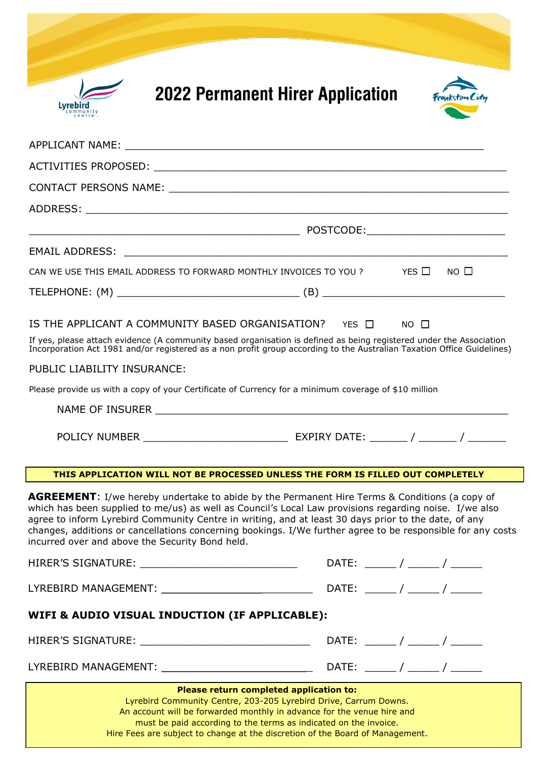| <b>2022 Permanent Hirer Application</b><br>Lyrebird                                                                                                                                                                                                                                                                                                                                                                                                                                      |                           |
|------------------------------------------------------------------------------------------------------------------------------------------------------------------------------------------------------------------------------------------------------------------------------------------------------------------------------------------------------------------------------------------------------------------------------------------------------------------------------------------|---------------------------|
|                                                                                                                                                                                                                                                                                                                                                                                                                                                                                          |                           |
|                                                                                                                                                                                                                                                                                                                                                                                                                                                                                          |                           |
|                                                                                                                                                                                                                                                                                                                                                                                                                                                                                          |                           |
|                                                                                                                                                                                                                                                                                                                                                                                                                                                                                          |                           |
|                                                                                                                                                                                                                                                                                                                                                                                                                                                                                          |                           |
| EMAIL ADDRESS: New York State of the Contract of the Contract of the Contract of the Contract of the Contract of the Contract of the Contract of the Contract of the Contract of the Contract of the Contract of the Contract                                                                                                                                                                                                                                                            |                           |
| CAN WE USE THIS EMAIL ADDRESS TO FORWARD MONTHLY INVOICES TO YOU ?                                                                                                                                                                                                                                                                                                                                                                                                                       | YES $\Box$<br>$NO$ $\Box$ |
|                                                                                                                                                                                                                                                                                                                                                                                                                                                                                          |                           |
| IS THE APPLICANT A COMMUNITY BASED ORGANISATION? YES $\Box$<br>If yes, please attach evidence (A community based organisation is defined as being registered under the Association<br>Incorporation Act 1981 and/or registered as a non profit group according to the Australian Taxation Office Guidelines)<br>PUBLIC LIABILITY INSURANCE:<br>Please provide us with a copy of your Certificate of Currency for a minimum coverage of \$10 million                                      | $NO$ $\Box$               |
| THIS APPLICATION WILL NOT BE PROCESSED UNLESS THE FORM IS FILLED OUT COMPLETELY                                                                                                                                                                                                                                                                                                                                                                                                          |                           |
| <b>AGREEMENT:</b> I/we hereby undertake to abide by the Permanent Hire Terms & Conditions (a copy of<br>which has been supplied to me/us) as well as Council's Local Law provisions regarding noise. I/we also<br>agree to inform Lyrebird Community Centre in writing, and at least 30 days prior to the date, of any<br>changes, additions or cancellations concerning bookings. I/We further agree to be responsible for any costs<br>incurred over and above the Security Bond held. |                           |
| HIRER'S SIGNATURE: _____________________________                                                                                                                                                                                                                                                                                                                                                                                                                                         |                           |
|                                                                                                                                                                                                                                                                                                                                                                                                                                                                                          |                           |
| WIFI & AUDIO VISUAL INDUCTION (IF APPLICABLE):                                                                                                                                                                                                                                                                                                                                                                                                                                           |                           |
|                                                                                                                                                                                                                                                                                                                                                                                                                                                                                          |                           |
|                                                                                                                                                                                                                                                                                                                                                                                                                                                                                          |                           |
| Please return completed application to:<br>Lyrebird Community Centre, 203-205 Lyrebird Drive, Carrum Downs.<br>An account will be forwarded monthly in advance for the venue hire and<br>must be paid according to the terms as indicated on the invoice.                                                                                                                                                                                                                                |                           |

Hire Fees are subject to change at the discretion of the Board of Management.